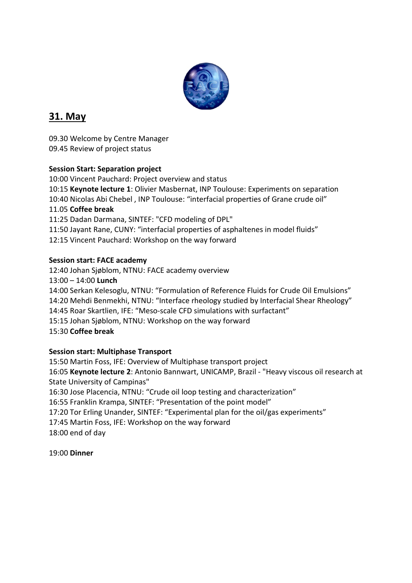

# **31. May**

09.30 Welcome by Centre Manager 09.45 Review of project status

### **Session Start: Separation project**

10:00 Vincent Pauchard: Project overview and status 10:15 **Keynote lecture 1**: Olivier Masbernat, INP Toulouse: Experiments on separation 10:40 Nicolas Abi Chebel , INP Toulouse: "interfacial properties of Grane crude oil" 11.05 **Coffee break** 11:25 Dadan Darmana, SINTEF: "CFD modeling of DPL" 11:50 Jayant Rane, CUNY: "interfacial properties of asphaltenes in model fluids" 12:15 Vincent Pauchard: Workshop on the way forward

### **Session start: FACE academy**

12:40 Johan Sjøblom, NTNU: FACE academy overview 13:00 – 14:00 **Lunch** 14:00 Serkan Kelesoglu, NTNU: "Formulation of Reference Fluids for Crude Oil Emulsions" 14:20 Mehdi Benmekhi, NTNU: "Interface rheology studied by Interfacial Shear Rheology" 14:45 Roar Skartlien, IFE: "Meso-scale CFD simulations with surfactant" 15:15 Johan Sjøblom, NTNU: Workshop on the way forward 15:30 **Coffee break**

### **Session start: Multiphase Transport**

15:50 Martin Foss, IFE: Overview of Multiphase transport project 16:05 **Keynote lecture 2**: Antonio Bannwart, UNICAMP, Brazil - "Heavy viscous oil research at State University of Campinas" 16:30 Jose Placencia, NTNU: "Crude oil loop testing and characterization" 16:55 Franklin Krampa, SINTEF: "Presentation of the point model" 17:20 Tor Erling Unander, SINTEF: "Experimental plan for the oil/gas experiments" 17:45 Martin Foss, IFE: Workshop on the way forward 18:00 end of day

19:00 **Dinner**